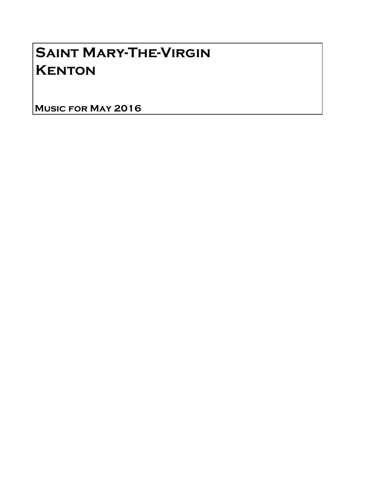## Saint Mary-The-Virgin **KENTON**

Music for May 2016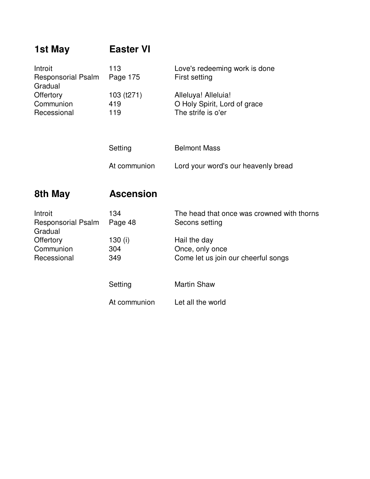| 1st May                   | <b>Easter VI</b> |                               |
|---------------------------|------------------|-------------------------------|
| Introit                   | 113              | Love's redeeming work is done |
| <b>Responsorial Psalm</b> | Page 175         | First setting                 |
| Gradual                   |                  |                               |
| Offertory                 | 103 (t271)       | Alleluya! Alleluia!           |
| Communion                 | 419              | O Holy Spirit, Lord of grace  |
| Recessional               | 119              | The strife is o'er            |
|                           |                  |                               |

| Setting      | <b>Belmont Mass</b>                 |
|--------------|-------------------------------------|
| At communion | Lord your word's our heavenly bread |

## **8th May Ascension**

| Introit<br><b>Responsorial Psalm</b><br>Gradual | 134<br>Page 48 | The head that once was crowned with thorns<br>Secons setting |
|-------------------------------------------------|----------------|--------------------------------------------------------------|
| Offertory                                       | 130 $(i)$      | Hail the day                                                 |
| Communion                                       | 304            | Once, only once                                              |
| Recessional                                     | 349            | Come let us join our cheerful songs                          |
|                                                 | Setting        | <b>Martin Shaw</b>                                           |
|                                                 | At communion   | Let all the world                                            |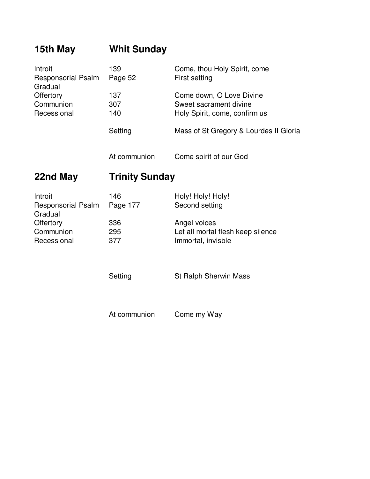| <b>Whit Sunday</b> |
|--------------------|
|                    |

| Introit                   | 139          | Come, thou Holy Spirit, come           |
|---------------------------|--------------|----------------------------------------|
| <b>Responsorial Psalm</b> | Page 52      | First setting                          |
| Gradual                   |              |                                        |
| <b>Offertory</b>          | 137          | Come down, O Love Divine               |
| Communion                 | 307          | Sweet sacrament divine                 |
| Recessional               | 140          | Holy Spirit, come, confirm us          |
|                           | Setting      | Mass of St Gregory & Lourdes II Gloria |
|                           | At communion | Come spirit of our God                 |

## **22nd May Trinity Sunday**

| 146      | Holy! Holy! Holy!                 |
|----------|-----------------------------------|
| Page 177 | Second setting                    |
|          |                                   |
| 336      | Angel voices                      |
| 295      | Let all mortal flesh keep silence |
| 377      | Immortal, invisble                |
|          |                                   |

Setting St Ralph Sherwin Mass

At communion Come my Way